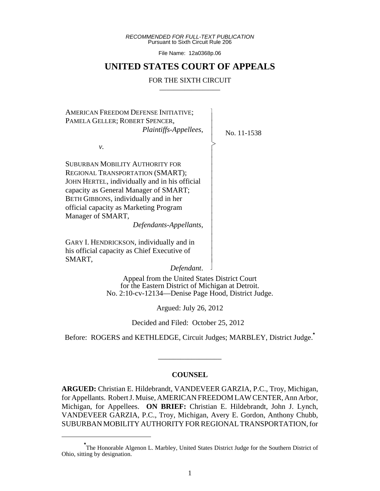*RECOMMENDED FOR FULL-TEXT PUBLICATION* Pursuant to Sixth Circuit Rule 206

File Name: 12a0368p.06

## **UNITED STATES COURT OF APPEALS**

#### FOR THE SIXTH CIRCUIT

 $\overline{\phantom{a}}$ - - - > , - - - - - - - - - - - - - - - - N

AMERICAN FREEDOM DEFENSE INITIATIVE; PAMELA GELLER; ROBERT SPENCER,  *Plaintiffs-Appellees*,

*v.*

SUBURBAN MOBILITY AUTHORITY FOR REGIONAL TRANSPORTATION (SMART); JOHN HERTEL, individually and in his official capacity as General Manager of SMART; BETH GIBBONS, individually and in her official capacity as Marketing Program Manager of SMART,

*Defendants-Appellants*,

GARY I. HENDRICKSON, individually and in his official capacity as Chief Executive of SMART,

*Defendant*.

Appeal from the United States District Court for the Eastern District of Michigan at Detroit. No. 2:10-cv-12134—Denise Page Hood, District Judge.

Argued: July 26, 2012

Decided and Filed: October 25, 2012

Before: ROGERS and KETHLEDGE, Circuit Judges; MARBLEY, District Judge.**\***

\_\_\_\_\_\_\_\_\_\_\_\_\_\_\_\_\_

#### **COUNSEL**

**ARGUED:** Christian E. Hildebrandt, VANDEVEER GARZIA, P.C., Troy, Michigan, for Appellants. Robert J. Muise, AMERICAN FREEDOM LAW CENTER, Ann Arbor, Michigan, for Appellees. **ON BRIEF:** Christian E. Hildebrandt, John J. Lynch, VANDEVEER GARZIA, P.C., Troy, Michigan, Avery E. Gordon, Anthony Chubb, SUBURBAN MOBILITY AUTHORITY FOR REGIONAL TRANSPORTATION, for

No. 11-1538

**<sup>\*</sup>** The Honorable Algenon L. Marbley, United States District Judge for the Southern District of Ohio, sitting by designation.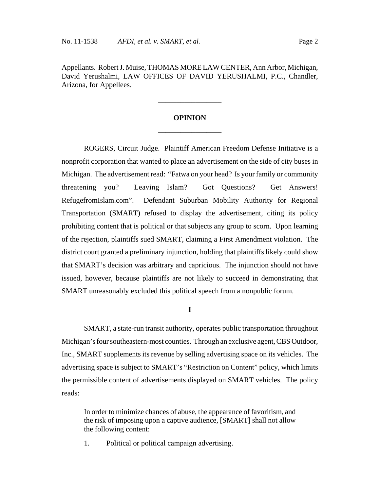Appellants. Robert J. Muise, THOMAS MORE LAW CENTER, Ann Arbor, Michigan, David Yerushalmi, LAW OFFICES OF DAVID YERUSHALMI, P.C., Chandler, Arizona, for Appellees.

# **OPINION \_\_\_\_\_\_\_\_\_\_\_\_\_\_\_\_\_**

**\_\_\_\_\_\_\_\_\_\_\_\_\_\_\_\_\_**

ROGERS, Circuit Judge. Plaintiff American Freedom Defense Initiative is a nonprofit corporation that wanted to place an advertisement on the side of city buses in Michigan. The advertisement read: "Fatwa on your head? Is your family or community threatening you? Leaving Islam? Got Questions? Get Answers! RefugefromIslam.com". Defendant Suburban Mobility Authority for Regional Transportation (SMART) refused to display the advertisement, citing its policy prohibiting content that is political or that subjects any group to scorn. Upon learning of the rejection, plaintiffs sued SMART, claiming a First Amendment violation. The district court granted a preliminary injunction, holding that plaintiffs likely could show that SMART's decision was arbitrary and capricious. The injunction should not have issued, however, because plaintiffs are not likely to succeed in demonstrating that SMART unreasonably excluded this political speech from a nonpublic forum.

#### **I**

SMART, a state-run transit authority, operates public transportation throughout Michigan's four southeastern-most counties. Through an exclusive agent, CBS Outdoor, Inc., SMART supplements its revenue by selling advertising space on its vehicles. The advertising space is subject to SMART's "Restriction on Content" policy, which limits the permissible content of advertisements displayed on SMART vehicles. The policy reads:

In order to minimize chances of abuse, the appearance of favoritism, and the risk of imposing upon a captive audience, [SMART] shall not allow the following content:

1. Political or political campaign advertising.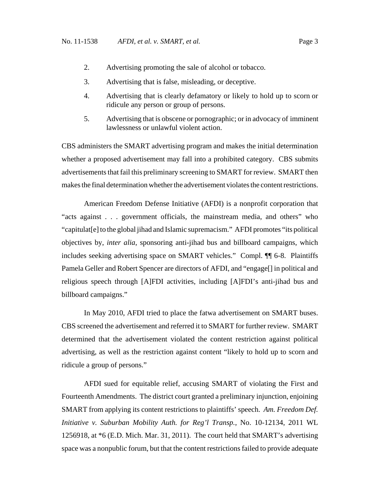- 2. Advertising promoting the sale of alcohol or tobacco.
- 3. Advertising that is false, misleading, or deceptive.
- 4. Advertising that is clearly defamatory or likely to hold up to scorn or ridicule any person or group of persons.
- 5. Advertising that is obscene or pornographic; or in advocacy of imminent lawlessness or unlawful violent action.

CBS administers the SMART advertising program and makes the initial determination whether a proposed advertisement may fall into a prohibited category. CBS submits advertisements that fail this preliminary screening to SMART for review. SMART then makes the final determination whether the advertisement violates the content restrictions.

American Freedom Defense Initiative (AFDI) is a nonprofit corporation that "acts against . . . government officials, the mainstream media, and others" who "capitulat[e] to the global jihad and Islamic supremacism." AFDI promotes "its political objectives by, *inter alia*, sponsoring anti-jihad bus and billboard campaigns, which includes seeking advertising space on SMART vehicles." Compl. ¶¶ 6-8. Plaintiffs Pamela Geller and Robert Spencer are directors of AFDI, and "engage[] in political and religious speech through [A]FDI activities, including [A]FDI's anti-jihad bus and billboard campaigns."

In May 2010, AFDI tried to place the fatwa advertisement on SMART buses. CBS screened the advertisement and referred it to SMART for further review. SMART determined that the advertisement violated the content restriction against political advertising, as well as the restriction against content "likely to hold up to scorn and ridicule a group of persons."

AFDI sued for equitable relief, accusing SMART of violating the First and Fourteenth Amendments. The district court granted a preliminary injunction, enjoining SMART from applying its content restrictions to plaintiffs' speech. *Am. Freedom Def. Initiative v. Suburban Mobility Auth. for Reg'l Transp.*, No. 10-12134, 2011 WL 1256918, at \*6 (E.D. Mich. Mar. 31, 2011). The court held that SMART's advertising space was a nonpublic forum, but that the content restrictions failed to provide adequate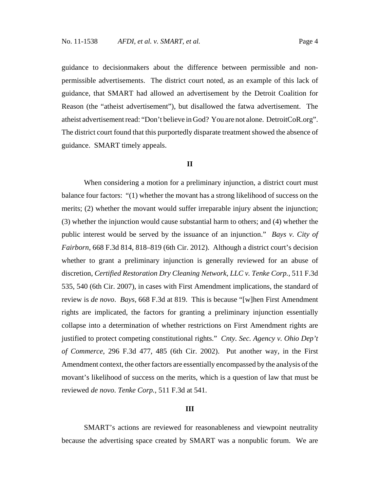guidance to decisionmakers about the difference between permissible and nonpermissible advertisements. The district court noted, as an example of this lack of guidance, that SMART had allowed an advertisement by the Detroit Coalition for Reason (the "atheist advertisement"), but disallowed the fatwa advertisement. The atheist advertisement read: "Don't believe in God? You are not alone. DetroitCoR.org". The district court found that this purportedly disparate treatment showed the absence of guidance. SMART timely appeals.

#### **II**

When considering a motion for a preliminary injunction, a district court must balance four factors: "(1) whether the movant has a strong likelihood of success on the merits; (2) whether the movant would suffer irreparable injury absent the injunction; (3) whether the injunction would cause substantial harm to others; and (4) whether the public interest would be served by the issuance of an injunction." *Bays v. City of Fairborn*, 668 F.3d 814, 818–819 (6th Cir. 2012). Although a district court's decision whether to grant a preliminary injunction is generally reviewed for an abuse of discretion, *Certified Restoration Dry Cleaning Network, LLC v. Tenke Corp.*, 511 F.3d 535, 540 (6th Cir. 2007), in cases with First Amendment implications, the standard of review is *de novo*. *Bays*, 668 F.3d at 819. This is because "[w]hen First Amendment rights are implicated, the factors for granting a preliminary injunction essentially collapse into a determination of whether restrictions on First Amendment rights are justified to protect competing constitutional rights." *Cnty. Sec. Agency v. Ohio Dep't of Commerce*, 296 F.3d 477, 485 (6th Cir. 2002). Put another way, in the First Amendment context, the other factors are essentially encompassed by the analysis of the movant's likelihood of success on the merits, which is a question of law that must be reviewed *de novo*. *Tenke Corp.*, 511 F.3d at 541.

#### **III**

SMART's actions are reviewed for reasonableness and viewpoint neutrality because the advertising space created by SMART was a nonpublic forum. We are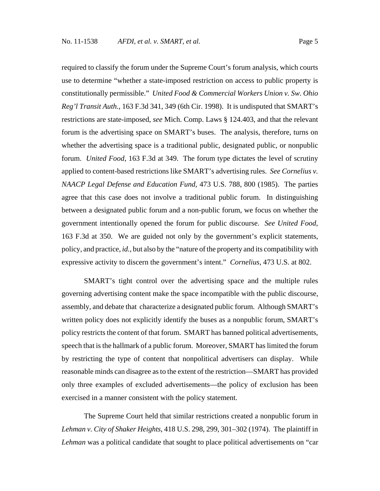required to classify the forum under the Supreme Court's forum analysis, which courts use to determine "whether a state-imposed restriction on access to public property is constitutionally permissible." *United Food & Commercial Workers Union v. Sw. Ohio Reg'l Transit Auth.*, 163 F.3d 341, 349 (6th Cir. 1998).It is undisputed that SMART's restrictions are state-imposed, *see* Mich. Comp. Laws § 124.403, and that the relevant forum is the advertising space on SMART's buses. The analysis, therefore, turns on whether the advertising space is a traditional public, designated public, or nonpublic forum. *United Food*, 163 F.3d at 349. The forum type dictates the level of scrutiny applied to content-based restrictions like SMART's advertising rules. *See Cornelius v. NAACP Legal Defense and Education Fund*, 473 U.S. 788, 800 (1985). The parties agree that this case does not involve a traditional public forum. In distinguishing between a designated public forum and a non-public forum, we focus on whether the government intentionally opened the forum for public discourse. *See United Food*, 163 F.3d at 350.We are guided not only by the government's explicit statements, policy, and practice, *id.,* but also by the "nature of the property and its compatibility with expressive activity to discern the government's intent." *Cornelius*, 473 U.S. at 802.

SMART's tight control over the advertising space and the multiple rules governing advertising content make the space incompatible with the public discourse, assembly, and debate that characterize a designated public forum. Although SMART's written policy does not explicitly identify the buses as a nonpublic forum, SMART's policy restricts the content of that forum. SMART has banned political advertisements, speech that is the hallmark of a public forum. Moreover, SMART has limited the forum by restricting the type of content that nonpolitical advertisers can display. While reasonable minds can disagree as to the extent of the restriction—SMART has provided only three examples of excluded advertisements—the policy of exclusion has been exercised in a manner consistent with the policy statement.

The Supreme Court held that similar restrictions created a nonpublic forum in *Lehman v. City of Shaker Heights*, 418 U.S. 298, 299, 301–302 (1974). The plaintiff in *Lehman* was a political candidate that sought to place political advertisements on "car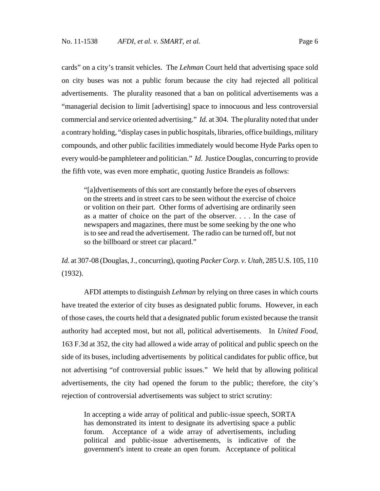cards" on a city's transit vehicles. The *Lehman* Court held that advertising space sold on city buses was not a public forum because the city had rejected all political advertisements. The plurality reasoned that a ban on political advertisements was a "managerial decision to limit [advertising] space to innocuous and less controversial commercial and service oriented advertising." *Id.* at 304. The plurality noted that under a contrary holding, "display cases in public hospitals, libraries, office buildings, military compounds, and other public facilities immediately would become Hyde Parks open to every would-be pamphleteer and politician." *Id.* Justice Douglas, concurring to provide the fifth vote, was even more emphatic, quoting Justice Brandeis as follows:

"[a]dvertisements of this sort are constantly before the eyes of observers on the streets and in street cars to be seen without the exercise of choice or volition on their part. Other forms of advertising are ordinarily seen as a matter of choice on the part of the observer. . . . In the case of newspapers and magazines, there must be some seeking by the one who is to see and read the advertisement. The radio can be turned off, but not so the billboard or street car placard."

*Id.* at 307-08 (Douglas, J., concurring), quoting *Packer Corp. v. Utah*, 285 U.S. 105, 110 (1932).

AFDI attempts to distinguish *Lehman* by relying on three cases in which courts have treated the exterior of city buses as designated public forums. However, in each of those cases, the courts held that a designated public forum existed because the transit authority had accepted most, but not all, political advertisements. In *United Food*, 163 F.3d at 352, the city had allowed a wide array of political and public speech on the side of its buses, including advertisements by political candidates for public office, but not advertising "of controversial public issues." We held that by allowing political advertisements, the city had opened the forum to the public; therefore, the city's rejection of controversial advertisements was subject to strict scrutiny:

In accepting a wide array of political and public-issue speech, SORTA has demonstrated its intent to designate its advertising space a public forum. Acceptance of a wide array of advertisements, including political and public-issue advertisements, is indicative of the government's intent to create an open forum. Acceptance of political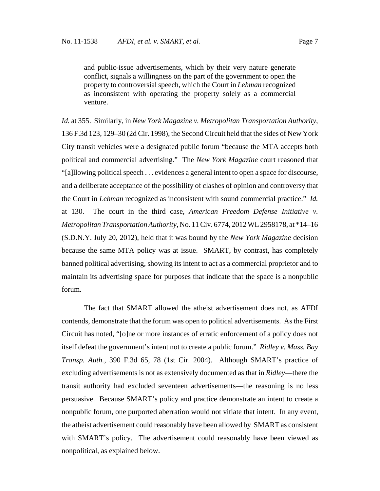and public-issue advertisements, which by their very nature generate conflict, signals a willingness on the part of the government to open the property to controversial speech, which the Court in *Lehman* recognized as inconsistent with operating the property solely as a commercial venture.

*Id.* at 355. Similarly, in *New York Magazine v. Metropolitan Transportation Authority*, 136 F.3d 123, 129–30 (2d Cir. 1998), the Second Circuit held that the sides of New York City transit vehicles were a designated public forum "because the MTA accepts both political and commercial advertising." The *New York Magazine* court reasoned that "[a]llowing political speech . . . evidences a general intent to open a space for discourse, and a deliberate acceptance of the possibility of clashes of opinion and controversy that the Court in *Lehman* recognized as inconsistent with sound commercial practice." *Id.* at 130. The court in the third case, *American Freedom Defense Initiative v. Metropolitan Transportation Authority*, No. 11 Civ. 6774, 2012 WL 2958178, at \*14–16 (S.D.N.Y. July 20, 2012), held that it was bound by the *New York Magazine* decision because the same MTA policy was at issue. SMART, by contrast, has completely banned political advertising, showing its intent to act as a commercial proprietor and to maintain its advertising space for purposes that indicate that the space is a nonpublic forum.

The fact that SMART allowed the atheist advertisement does not, as AFDI contends, demonstrate that the forum was open to political advertisements. As the First Circuit has noted, "[o]ne or more instances of erratic enforcement of a policy does not itself defeat the government's intent not to create a public forum." *Ridley v. Mass. Bay Transp. Auth.*, 390 F.3d 65, 78 (1st Cir. 2004). Although SMART's practice of excluding advertisements is not as extensively documented as that in *Ridley*—there the transit authority had excluded seventeen advertisements—the reasoning is no less persuasive. Because SMART's policy and practice demonstrate an intent to create a nonpublic forum, one purported aberration would not vitiate that intent. In any event, the atheist advertisement could reasonably have been allowed by SMART as consistent with SMART's policy. The advertisement could reasonably have been viewed as nonpolitical, as explained below.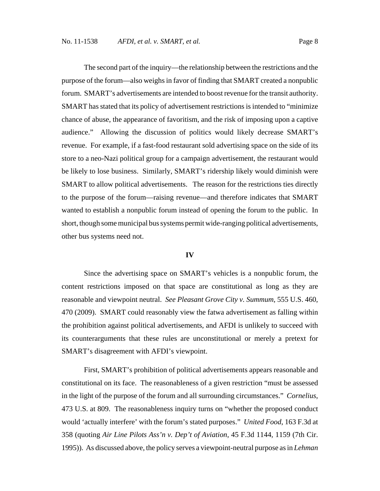The second part of the inquiry—the relationship between the restrictions and the purpose of the forum—also weighs in favor of finding that SMART created a nonpublic forum. SMART's advertisements are intended to boost revenue for the transit authority. SMART has stated that its policy of advertisement restrictions is intended to "minimize chance of abuse, the appearance of favoritism, and the risk of imposing upon a captive audience." Allowing the discussion of politics would likely decrease SMART's revenue. For example, if a fast-food restaurant sold advertising space on the side of its store to a neo-Nazi political group for a campaign advertisement, the restaurant would be likely to lose business. Similarly, SMART's ridership likely would diminish were SMART to allow political advertisements. The reason for the restrictions ties directly to the purpose of the forum—raising revenue—and therefore indicates that SMART wanted to establish a nonpublic forum instead of opening the forum to the public. In short, though some municipal bus systems permit wide-ranging political advertisements, other bus systems need not.

#### **IV**

Since the advertising space on SMART's vehicles is a nonpublic forum, the content restrictions imposed on that space are constitutional as long as they are reasonable and viewpoint neutral. *See Pleasant Grove City v. Summum*, 555 U.S. 460, 470 (2009). SMART could reasonably view the fatwa advertisement as falling within the prohibition against political advertisements, and AFDI is unlikely to succeed with its counterarguments that these rules are unconstitutional or merely a pretext for SMART's disagreement with AFDI's viewpoint.

First, SMART's prohibition of political advertisements appears reasonable and constitutional on its face. The reasonableness of a given restriction "must be assessed in the light of the purpose of the forum and all surrounding circumstances." *Cornelius*, 473 U.S. at 809. The reasonableness inquiry turns on "whether the proposed conduct would 'actually interfere' with the forum's stated purposes." *United Food*, 163 F.3d at 358 (quoting *Air Line Pilots Ass'n v. Dep't of Aviation*, 45 F.3d 1144, 1159 (7th Cir. 1995)). As discussed above, the policy serves a viewpoint-neutral purpose as in *Lehman*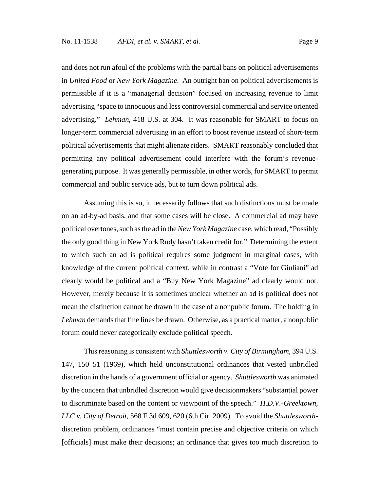and does not run afoul of the problems with the partial bans on political advertisements in *United Food* or *New York Magazine*. An outright ban on political advertisements is permissible if it is a "managerial decision" focused on increasing revenue to limit advertising "space to innocuous and less controversial commercial and service oriented advertising." *Lehman*, 418 U.S. at 304. It was reasonable for SMART to focus on longer-term commercial advertising in an effort to boost revenue instead of short-term political advertisements that might alienate riders. SMART reasonably concluded that permitting any political advertisement could interfere with the forum's revenuegenerating purpose. It was generally permissible, in other words, for SMART to permit commercial and public service ads, but to turn down political ads.

Assuming this is so, it necessarily follows that such distinctions must be made on an ad-by-ad basis, and that some cases will be close. A commercial ad may have political overtones, such as the ad in the *New York Magazine* case, which read, "Possibly the only good thing in New York Rudy hasn't taken credit for." Determining the extent to which such an ad is political requires some judgment in marginal cases, with knowledge of the current political context, while in contrast a "Vote for Giuliani" ad clearly would be political and a "Buy New York Magazine" ad clearly would not. However, merely because it is sometimes unclear whether an ad is political does not mean the distinction cannot be drawn in the case of a nonpublic forum. The holding in *Lehman* demands that fine lines be drawn. Otherwise, as a practical matter, a nonpublic forum could never categorically exclude political speech.

This reasoning is consistent with *Shuttlesworth v. City of Birmingham*, 394 U.S. 147, 150–51 (1969), which held unconstitutional ordinances that vested unbridled discretion in the hands of a government official or agency. *Shuttlesworth* was animated by the concern that unbridled discretion would give decisionmakers "substantial power to discriminate based on the content or viewpoint of the speech." *H.D.V.-Greektown, LLC v. City of Detroit*, 568 F.3d 609, 620 (6th Cir. 2009). To avoid the *Shuttlesworth*discretion problem, ordinances "must contain precise and objective criteria on which [officials] must make their decisions; an ordinance that gives too much discretion to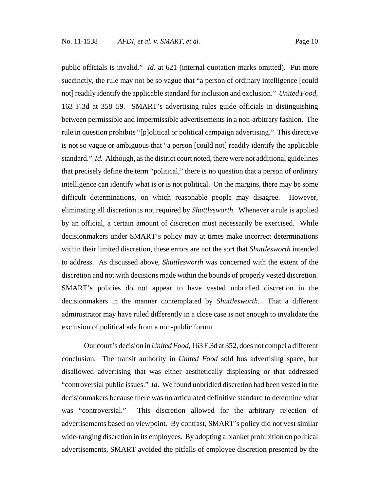public officials is invalid." *Id.* at 621 (internal quotation marks omitted). Put more succinctly, the rule may not be so vague that "a person of ordinary intelligence [could not] readily identify the applicable standard for inclusion and exclusion." *United Food*, 163 F.3d at 358–59. SMART's advertising rules guide officials in distinguishing between permissible and impermissible advertisements in a non-arbitrary fashion. The rule in question prohibits "[p]olitical or political campaign advertising." This directive is not so vague or ambiguous that "a person [could not] readily identify the applicable standard." *Id.* Although, as the district court noted, there were not additional guidelines that precisely define the term "political," there is no question that a person of ordinary intelligence can identify what is or is not political. On the margins, there may be some difficult determinations, on which reasonable people may disagree. However, eliminating all discretion is not required by *Shuttlesworth*. Whenever a rule is applied by an official, a certain amount of discretion must necessarily be exercised. While decisionmakers under SMART's policy may at times make incorrect determinations within their limited discretion, these errors are not the sort that *Shuttlesworth* intended to address. As discussed above, *Shuttlesworth* was concerned with the extent of the discretion and not with decisions made within the bounds of properly vested discretion. SMART's policies do not appear to have vested unbridled discretion in the decisionmakers in the manner contemplated by *Shuttlesworth*. That a different administrator may have ruled differently in a close case is not enough to invalidate the exclusion of political ads from a non-public forum.

Our court's decision in *United Food,* 163 F.3d at 352, does not compel a different conclusion. The transit authority in *United Food* sold bus advertising space, but disallowed advertising that was either aesthetically displeasing or that addressed "controversial public issues." *Id*. We found unbridled discretion had been vested in the decisionmakers because there was no articulated definitive standard to determine what was "controversial." This discretion allowed for the arbitrary rejection of advertisements based on viewpoint. By contrast, SMART's policy did not vest similar wide-ranging discretion in its employees. By adopting a blanket prohibition on political advertisements, SMART avoided the pitfalls of employee discretion presented by the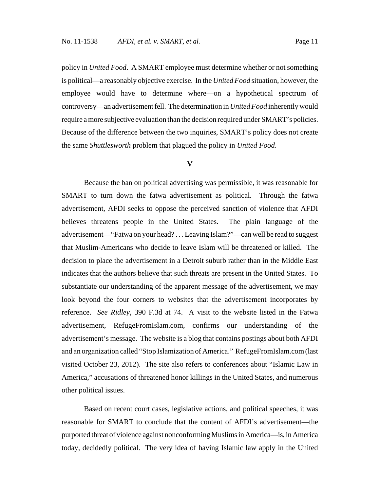policy in *United Food*. A SMART employee must determine whether or not something is political—a reasonably objective exercise. In the *United Food* situation, however, the employee would have to determine where—on a hypothetical spectrum of controversy—an advertisement fell. The determination in *United Food* inherently would require a more subjective evaluation than the decision required under SMART's policies. Because of the difference between the two inquiries, SMART's policy does not create the same *Shuttlesworth* problem that plagued the policy in *United Food*.

#### **V**

Because the ban on political advertising was permissible, it was reasonable for SMART to turn down the fatwa advertisement as political. Through the fatwa advertisement, AFDI seeks to oppose the perceived sanction of violence that AFDI believes threatens people in the United States. The plain language of the advertisement—"Fatwa on your head? . . . Leaving Islam?"—can well be read to suggest that Muslim-Americans who decide to leave Islam will be threatened or killed. The decision to place the advertisement in a Detroit suburb rather than in the Middle East indicates that the authors believe that such threats are present in the United States. To substantiate our understanding of the apparent message of the advertisement, we may look beyond the four corners to websites that the advertisement incorporates by reference. *See Ridley*, 390 F.3d at 74. A visit to the website listed in the Fatwa advertisement, RefugeFromIslam.com, confirms our understanding of the advertisement's message. The website is a blog that contains postings about both AFDI and an organization called "Stop Islamization of America." RefugeFromIslam.com (last visited October 23, 2012). The site also refers to conferences about "Islamic Law in America," accusations of threatened honor killings in the United States, and numerous other political issues.

Based on recent court cases, legislative actions, and political speeches, it was reasonable for SMART to conclude that the content of AFDI's advertisement—the purported threat of violence against nonconforming Muslims in America—is, in America today, decidedly political. The very idea of having Islamic law apply in the United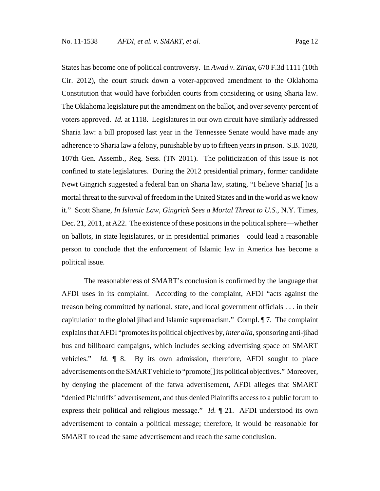States has become one of political controversy. In *Awad v. Ziriax*, 670 F.3d 1111 (10th Cir. 2012), the court struck down a voter-approved amendment to the Oklahoma Constitution that would have forbidden courts from considering or using Sharia law. The Oklahoma legislature put the amendment on the ballot, and over seventy percent of voters approved. *Id.* at 1118. Legislatures in our own circuit have similarly addressed Sharia law: a bill proposed last year in the Tennessee Senate would have made any adherence to Sharia law a felony, punishable by up to fifteen years in prison. S.B. 1028, 107th Gen. Assemb., Reg. Sess. (TN 2011). The politicization of this issue is not confined to state legislatures. During the 2012 presidential primary, former candidate Newt Gingrich suggested a federal ban on Sharia law, stating, "I believe Sharia[ ]is a mortal threat to the survival of freedom in the United States and in the world as we know it." Scott Shane, *In Islamic Law, Gingrich Sees a Mortal Threat to U.S.*, N.Y. Times, Dec. 21, 2011, at A22. The existence of these positions in the political sphere—whether on ballots, in state legislatures, or in presidential primaries—could lead a reasonable person to conclude that the enforcement of Islamic law in America has become a political issue.

The reasonableness of SMART's conclusion is confirmed by the language that AFDI uses in its complaint. According to the complaint, AFDI "acts against the treason being committed by national, state, and local government officials . . . in their capitulation to the global jihad and Islamic supremacism." Compl. ¶ 7. The complaint explains that AFDI "promotes its political objectives by, *inter alia*, sponsoring anti-jihad bus and billboard campaigns, which includes seeking advertising space on SMART vehicles." *Id.* ¶ 8. By its own admission, therefore, AFDI sought to place advertisements on the SMART vehicle to "promote[] its political objectives." Moreover, by denying the placement of the fatwa advertisement, AFDI alleges that SMART "denied Plaintiffs' advertisement, and thus denied Plaintiffs access to a public forum to express their political and religious message." *Id.* ¶ 21. AFDI understood its own advertisement to contain a political message; therefore, it would be reasonable for SMART to read the same advertisement and reach the same conclusion.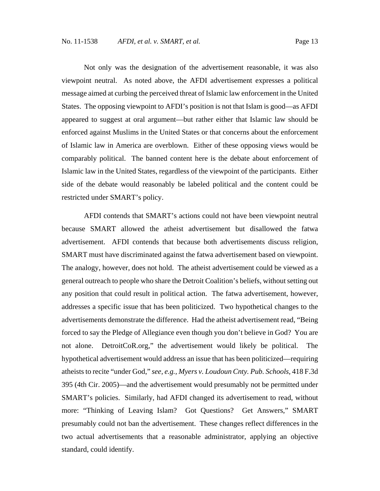Not only was the designation of the advertisement reasonable, it was also viewpoint neutral. As noted above, the AFDI advertisement expresses a political message aimed at curbing the perceived threat of Islamic law enforcement in the United States. The opposing viewpoint to AFDI's position is not that Islam is good—as AFDI appeared to suggest at oral argument—but rather either that Islamic law should be enforced against Muslims in the United States or that concerns about the enforcement of Islamic law in America are overblown. Either of these opposing views would be comparably political. The banned content here is the debate about enforcement of Islamic law in the United States, regardless of the viewpoint of the participants. Either side of the debate would reasonably be labeled political and the content could be restricted under SMART's policy.

AFDI contends that SMART's actions could not have been viewpoint neutral because SMART allowed the atheist advertisement but disallowed the fatwa advertisement. AFDI contends that because both advertisements discuss religion, SMART must have discriminated against the fatwa advertisement based on viewpoint. The analogy, however, does not hold. The atheist advertisement could be viewed as a general outreach to people who share the Detroit Coalition's beliefs, without setting out any position that could result in political action. The fatwa advertisement, however, addresses a specific issue that has been politicized. Two hypothetical changes to the advertisements demonstrate the difference. Had the atheist advertisement read, "Being forced to say the Pledge of Allegiance even though you don't believe in God? You are not alone. DetroitCoR.org," the advertisement would likely be political. The hypothetical advertisement would address an issue that has been politicized—requiring atheists to recite "under God," *see, e.g., Myers v. Loudoun Cnty. Pub. Schools,* 418 F.3d 395 (4th Cir. 2005)—and the advertisement would presumably not be permitted under SMART's policies. Similarly, had AFDI changed its advertisement to read, without more: "Thinking of Leaving Islam? Got Questions? Get Answers," SMART presumably could not ban the advertisement. These changes reflect differences in the two actual advertisements that a reasonable administrator, applying an objective standard, could identify.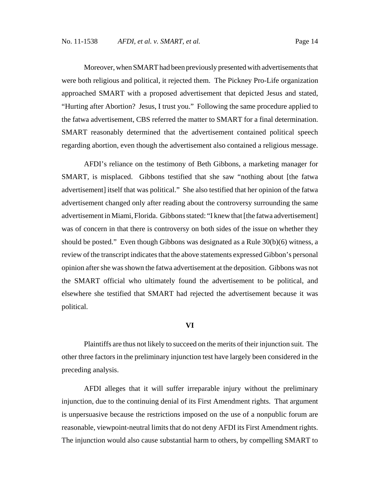Moreover, when SMART had been previously presented with advertisements that were both religious and political, it rejected them. The Pickney Pro-Life organization approached SMART with a proposed advertisement that depicted Jesus and stated, "Hurting after Abortion? Jesus, I trust you." Following the same procedure applied to the fatwa advertisement, CBS referred the matter to SMART for a final determination. SMART reasonably determined that the advertisement contained political speech regarding abortion, even though the advertisement also contained a religious message.

AFDI's reliance on the testimony of Beth Gibbons, a marketing manager for SMART, is misplaced. Gibbons testified that she saw "nothing about [the fatwa advertisement] itself that was political." She also testified that her opinion of the fatwa advertisement changed only after reading about the controversy surrounding the same advertisement in Miami, Florida. Gibbons stated: "I knew that [the fatwa advertisement] was of concern in that there is controversy on both sides of the issue on whether they should be posted." Even though Gibbons was designated as a Rule 30(b)(6) witness, a review of the transcript indicates that the above statements expressed Gibbon's personal opinion after she was shown the fatwa advertisement at the deposition. Gibbons was not the SMART official who ultimately found the advertisement to be political, and elsewhere she testified that SMART had rejected the advertisement because it was political.

### **VI**

Plaintiffs are thus not likely to succeed on the merits of their injunction suit. The other three factors in the preliminary injunction test have largely been considered in the preceding analysis.

AFDI alleges that it will suffer irreparable injury without the preliminary injunction, due to the continuing denial of its First Amendment rights. That argument is unpersuasive because the restrictions imposed on the use of a nonpublic forum are reasonable, viewpoint-neutral limits that do not deny AFDI its First Amendment rights. The injunction would also cause substantial harm to others, by compelling SMART to